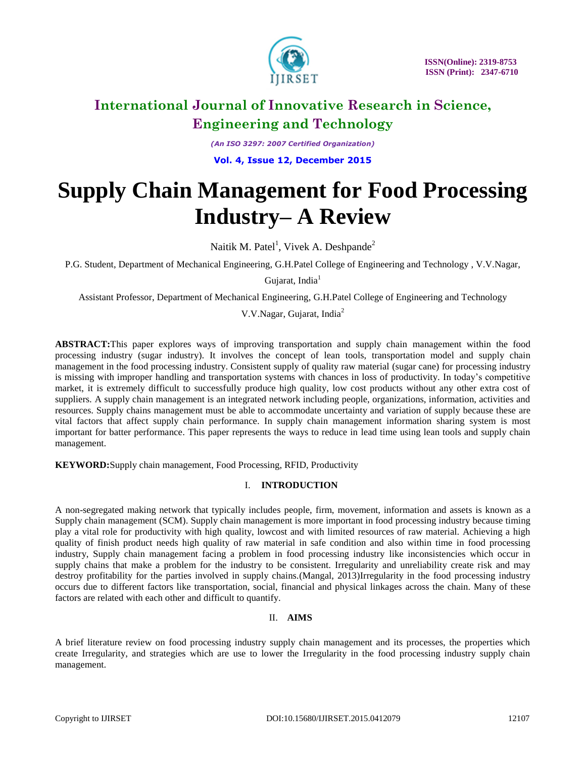

*(An ISO 3297: 2007 Certified Organization)* **Vol. 4, Issue 12, December 2015**

# **Supply Chain Management for Food Processing Industry– A Review**

Naitik M. Patel<sup>1</sup>, Vivek A. Deshpande<sup>2</sup>

P.G. Student, Department of Mechanical Engineering, G.H.Patel College of Engineering and Technology , V.V.Nagar,

Gujarat, India<sup>1</sup>

Assistant Professor, Department of Mechanical Engineering, G.H.Patel College of Engineering and Technology

V.V.Nagar, Gujarat, India<sup>2</sup>

**ABSTRACT:**This paper explores ways of improving transportation and supply chain management within the food processing industry (sugar industry). It involves the concept of lean tools, transportation model and supply chain management in the food processing industry. Consistent supply of quality raw material (sugar cane) for processing industry is missing with improper handling and transportation systems with chances in loss of productivity. In today's competitive market, it is extremely difficult to successfully produce high quality, low cost products without any other extra cost of suppliers. A supply chain management is an integrated network including people, organizations, information, activities and resources. Supply chains management must be able to accommodate uncertainty and variation of supply because these are vital factors that affect supply chain performance. In supply chain management information sharing system is most important for batter performance. This paper represents the ways to reduce in lead time using lean tools and supply chain management.

**KEYWORD:**Supply chain management, Food Processing, RFID, Productivity

### I. **INTRODUCTION**

A non-segregated making network that typically includes people, firm, movement, information and assets is known as a Supply chain management (SCM). Supply chain management is more important in food processing industry because timing play a vital role for productivity with high quality, lowcost and with limited resources of raw material. Achieving a high quality of finish product needs high quality of raw material in safe condition and also within time in food processing industry, Supply chain management facing a problem in food processing industry like inconsistencies which occur in supply chains that make a problem for the industry to be consistent. Irregularity and unreliability create risk and may destroy profitability for the parties involved in supply chains.(Mangal, 2013)Irregularity in the food processing industry occurs due to different factors like transportation, social, financial and physical linkages across the chain. Many of these factors are related with each other and difficult to quantify.

### II. **AIMS**

A brief literature review on food processing industry supply chain management and its processes, the properties which create Irregularity, and strategies which are use to lower the Irregularity in the food processing industry supply chain management.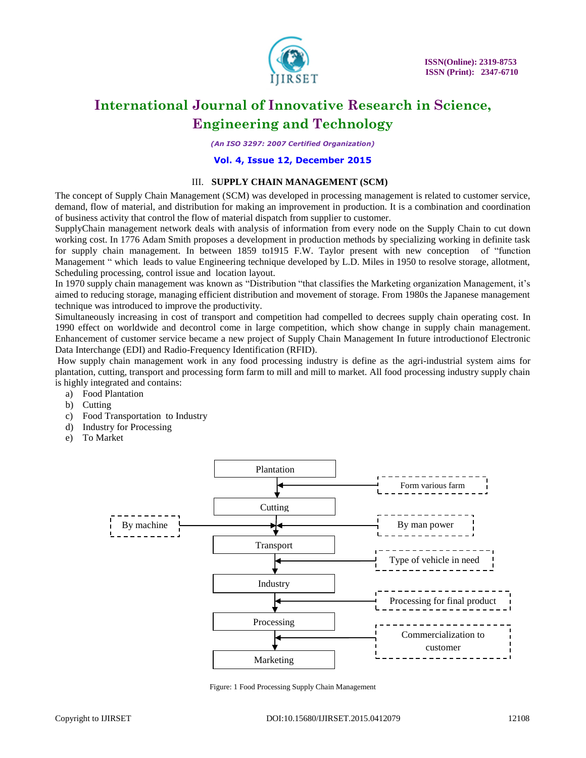

*(An ISO 3297: 2007 Certified Organization)*

#### **Vol. 4, Issue 12, December 2015**

#### III. **SUPPLY CHAIN MANAGEMENT (SCM)**

The concept of Supply Chain Management (SCM) was developed in processing management is related to customer service, demand, flow of material, and distribution for making an improvement in production. It is a combination and coordination of business activity that control the flow of material dispatch from supplier to customer.

SupplyChain management network deals with analysis of information from every node on the Supply Chain to cut down working cost. In 1776 Adam Smith proposes a development in production methods by specializing working in definite task for supply chain management. In between 1859 to1915 F.W. Taylor present with new conception of "function Management " which leads to value Engineering technique developed by L.D. Miles in 1950 to resolve storage, allotment, Scheduling processing, control issue and location layout.

In 1970 supply chain management was known as "Distribution "that classifies the Marketing organization Management, it's aimed to reducing storage, managing efficient distribution and movement of storage. From 1980s the Japanese management technique was introduced to improve the productivity.

Simultaneously increasing in cost of transport and competition had compelled to decrees supply chain operating cost. In 1990 effect on worldwide and decontrol come in large competition, which show change in supply chain management. Enhancement of customer service became a new project of Supply Chain Management In future introductionof Electronic Data Interchange (EDI) and Radio-Frequency Identification (RFID).

How supply chain management work in any food processing industry is define as the agri-industrial system aims for plantation, cutting, transport and processing form farm to mill and mill to market. All food processing industry supply chain is highly integrated and contains:

- a) Food Plantation
- b) Cutting
- c) Food Transportation to Industry
- d) Industry for Processing
- e) To Market



Figure: 1 Food Processing Supply Chain Management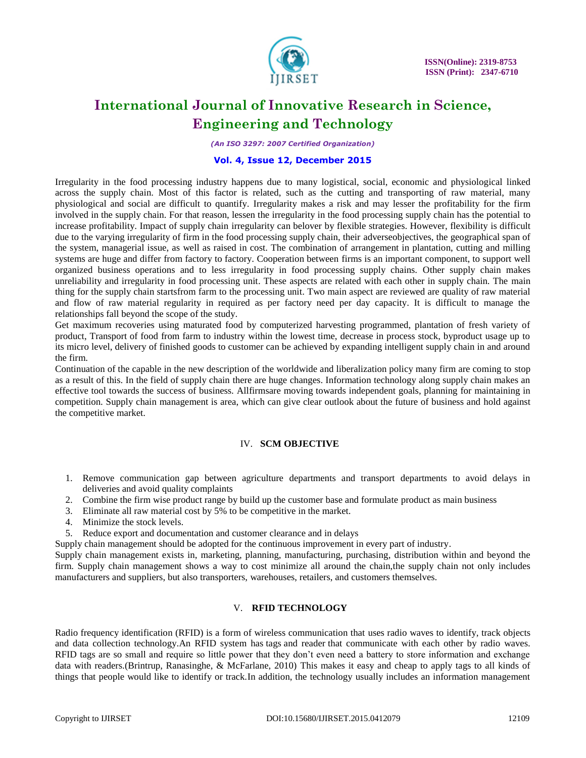

*(An ISO 3297: 2007 Certified Organization)*

### **Vol. 4, Issue 12, December 2015**

Irregularity in the food processing industry happens due to many logistical, social, economic and physiological linked across the supply chain. Most of this factor is related, such as the cutting and transporting of raw material, many physiological and social are difficult to quantify. Irregularity makes a risk and may lesser the profitability for the firm involved in the supply chain. For that reason, lessen the irregularity in the food processing supply chain has the potential to increase profitability. Impact of supply chain irregularity can belover by flexible strategies. However, flexibility is difficult due to the varying irregularity of firm in the food processing supply chain, their adverseobjectives, the geographical span of the system, managerial issue, as well as raised in cost. The combination of arrangement in plantation, cutting and milling systems are huge and differ from factory to factory. Cooperation between firms is an important component, to support well organized business operations and to less irregularity in food processing supply chains. Other supply chain makes unreliability and irregularity in food processing unit. These aspects are related with each other in supply chain. The main thing for the supply chain startsfrom farm to the processing unit. Two main aspect are reviewed are quality of raw material and flow of raw material regularity in required as per factory need per day capacity. It is difficult to manage the relationships fall beyond the scope of the study.

Get maximum recoveries using maturated food by computerized harvesting programmed, plantation of fresh variety of product, Transport of food from farm to industry within the lowest time, decrease in process stock, byproduct usage up to its micro level, delivery of finished goods to customer can be achieved by expanding intelligent supply chain in and around the firm.

Continuation of the capable in the new description of the worldwide and liberalization policy many firm are coming to stop as a result of this. In the field of supply chain there are huge changes. Information technology along supply chain makes an effective tool towards the success of business. Allfirmsare moving towards independent goals, planning for maintaining in competition. Supply chain management is area, which can give clear outlook about the future of business and hold against the competitive market.

#### IV. **SCM OBJECTIVE**

- 1. Remove communication gap between agriculture departments and transport departments to avoid delays in deliveries and avoid quality complaints
- 2. Combine the firm wise product range by build up the customer base and formulate product as main business
- 3. Eliminate all raw material cost by 5% to be competitive in the market.
- 4. Minimize the stock levels.
- 5. Reduce export and documentation and customer clearance and in delays

Supply chain management should be adopted for the continuous improvement in every part of industry.

Supply chain management exists in, marketing, planning, manufacturing, purchasing, distribution within and beyond the firm. Supply chain management shows a way to cost minimize all around the chain,the supply chain not only includes manufacturers and suppliers, but also transporters, warehouses, retailers, and customers themselves.

#### V. **RFID TECHNOLOGY**

Radio frequency identification (RFID) is a form of wireless communication that uses radio waves to identify, track objects and data collection technology.An RFID system has tags and reader that communicate with each other by radio waves. RFID tags are so small and require so little power that they don't even need a battery to store information and exchange data with readers.(Brintrup, Ranasinghe, & McFarlane, 2010) This makes it easy and cheap to apply tags to all kinds of things that people would like to identify or track.In addition, the technology usually includes an information management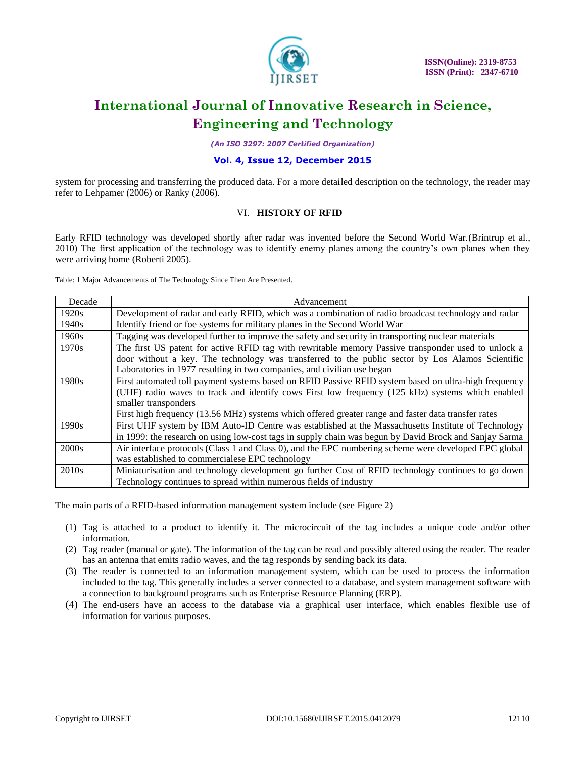

*(An ISO 3297: 2007 Certified Organization)*

### **Vol. 4, Issue 12, December 2015**

system for processing and transferring the produced data. For a more detailed description on the technology, the reader may refer to Lehpamer (2006) or Ranky (2006).

#### VI. **HISTORY OF RFID**

Early RFID technology was developed shortly after radar was invented before the Second World War.(Brintrup et al., 2010) The first application of the technology was to identify enemy planes among the country's own planes when they were arriving home (Roberti 2005).

Table: 1 Major Advancements of The Technology Since Then Are Presented.

| Decade            | Advancement                                                                                            |  |  |  |  |
|-------------------|--------------------------------------------------------------------------------------------------------|--|--|--|--|
| 1920s             | Development of radar and early RFID, which was a combination of radio broadcast technology and radar   |  |  |  |  |
| 1940 <sub>s</sub> | Identify friend or foe systems for military planes in the Second World War                             |  |  |  |  |
| 1960s             | Tagging was developed further to improve the safety and security in transporting nuclear materials     |  |  |  |  |
| 1970s             | The first US patent for active RFID tag with rewritable memory Passive transponder used to unlock a    |  |  |  |  |
|                   | door without a key. The technology was transferred to the public sector by Los Alamos Scientific       |  |  |  |  |
|                   | Laboratories in 1977 resulting in two companies, and civilian use began                                |  |  |  |  |
| 1980s             | First automated toll payment systems based on RFID Passive RFID system based on ultra-high frequency   |  |  |  |  |
|                   | (UHF) radio waves to track and identify cows First low frequency (125 kHz) systems which enabled       |  |  |  |  |
|                   | smaller transponders                                                                                   |  |  |  |  |
|                   | First high frequency (13.56 MHz) systems which offered greater range and faster data transfer rates    |  |  |  |  |
| 1990s             | First UHF system by IBM Auto-ID Centre was established at the Massachusetts Institute of Technology    |  |  |  |  |
|                   | in 1999: the research on using low-cost tags in supply chain was begun by David Brock and Sanjay Sarma |  |  |  |  |
| 2000s             | Air interface protocols (Class 1 and Class 0), and the EPC numbering scheme were developed EPC global  |  |  |  |  |
|                   | was established to commercialese EPC technology                                                        |  |  |  |  |
| 2010 <sub>s</sub> | Miniaturisation and technology development go further Cost of RFID technology continues to go down     |  |  |  |  |
|                   | Technology continues to spread within numerous fields of industry                                      |  |  |  |  |

The main parts of a RFID-based information management system include (see Figure 2)

- (1) Tag is attached to a product to identify it. The microcircuit of the tag includes a unique code and/or other information.
- (2) Tag reader (manual or gate). The information of the tag can be read and possibly altered using the reader. The reader has an antenna that emits radio waves, and the tag responds by sending back its data.
- (3) The reader is connected to an information management system, which can be used to process the information included to the tag. This generally includes a server connected to a database, and system management software with a connection to background programs such as Enterprise Resource Planning (ERP).
- (4) The end-users have an access to the database via a graphical user interface, which enables flexible use of information for various purposes.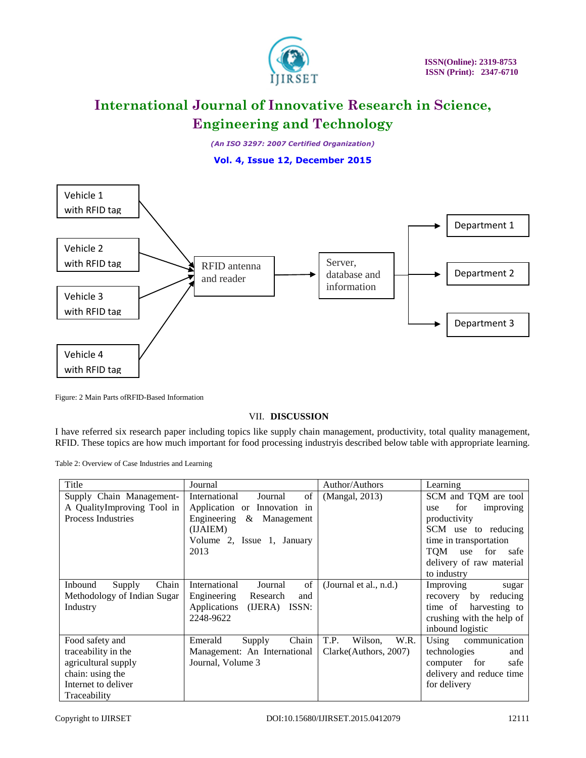

*(An ISO 3297: 2007 Certified Organization)*

**Vol. 4, Issue 12, December 2015**



Figure: 2 Main Parts ofRFID-Based Information

VII. **DISCUSSION**

I have referred six research paper including topics like supply chain management, productivity, total quality management, RFID. These topics are how much important for food processing industryis described below table with appropriate learning.

Table 2: Overview of Case Industries and Learning

| Title                       | Journal                          | Author/Authors          | Learning                  |
|-----------------------------|----------------------------------|-------------------------|---------------------------|
| Supply Chain Management-    | International<br>of<br>Journal   | (Mangal, 2013)          | SCM and TQM are tool      |
| A QualityImproving Tool in  | Application or Innovation in     |                         | for<br>improving<br>use   |
| <b>Process Industries</b>   | Engineering<br>&<br>Management   |                         | productivity              |
|                             | (IJAIEM)                         |                         | SCM use to reducing       |
|                             | Volume 2, Issue 1, January       |                         | time in transportation    |
|                             | 2013                             |                         | TOM<br>for<br>use<br>safe |
|                             |                                  |                         | delivery of raw material  |
|                             |                                  |                         | to industry               |
| Chain<br>Inbound<br>Supply  | of<br>International<br>Journal   | (Journal et al., n.d.)  | Improving<br>sugar        |
| Methodology of Indian Sugar | Engineering<br>Research<br>and   |                         | recovery by reducing      |
| Industry                    | Applications<br>(IJERA)<br>ISSN: |                         | time of<br>harvesting to  |
|                             | 2248-9622                        |                         | crushing with the help of |
|                             |                                  |                         | inbound logistic          |
| Food safety and             | Chain<br>Emerald<br>Supply       | T.P.<br>Wilson.<br>W.R. | communication<br>Using    |
| traceability in the         | Management: An International     | Clarke (Authors, 2007)  | technologies<br>and       |
| agricultural supply         | Journal, Volume 3                |                         | for<br>computer<br>safe   |
| chain: using the            |                                  |                         | delivery and reduce time  |
| Internet to deliver         |                                  |                         | for delivery              |
| Traceability                |                                  |                         |                           |